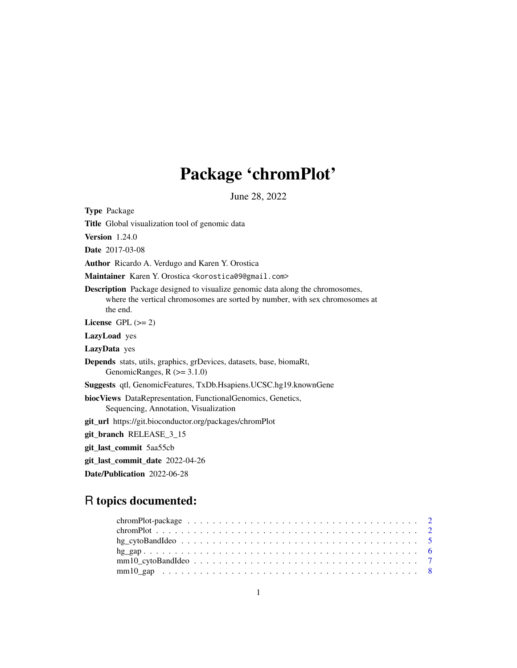## Package 'chromPlot'

June 28, 2022

Type Package

Title Global visualization tool of genomic data

Version 1.24.0

Date 2017-03-08

Author Ricardo A. Verdugo and Karen Y. Orostica

Maintainer Karen Y. Orostica <korostica09@gmail.com>

Description Package designed to visualize genomic data along the chromosomes, where the vertical chromosomes are sorted by number, with sex chromosomes at the end.

License GPL  $(>= 2)$ 

LazyLoad yes

LazyData yes

Depends stats, utils, graphics, grDevices, datasets, base, biomaRt, GenomicRanges,  $R$  ( $>=$  3.1.0)

Suggests qtl, GenomicFeatures, TxDb.Hsapiens.UCSC.hg19.knownGene

biocViews DataRepresentation, FunctionalGenomics, Genetics, Sequencing, Annotation, Visualization

git\_url https://git.bioconductor.org/packages/chromPlot

git\_branch RELEASE\_3\_15

git\_last\_commit 5aa55cb

git\_last\_commit\_date 2022-04-26

Date/Publication 2022-06-28

### R topics documented: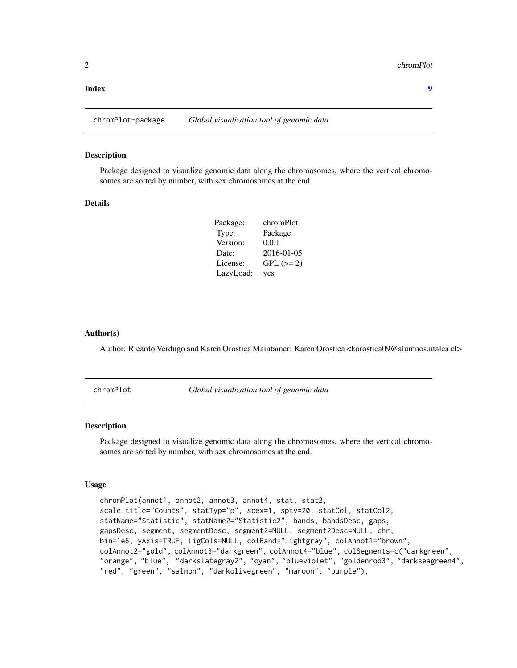#### <span id="page-1-0"></span>**Index** [9](#page-8-0)

chromPlot-package *Global visualization tool of genomic data*

#### Description

Package designed to visualize genomic data along the chromosomes, where the vertical chromosomes are sorted by number, with sex chromosomes at the end.

#### Details

| Package:  | chromPlot   |
|-----------|-------------|
| Type:     | Package     |
| Version:  | 0.0.1       |
| Date:     | 2016-01-05  |
| License:  | $GPL (= 2)$ |
| LazyLoad: | yes         |

#### Author(s)

Author: Ricardo Verdugo and Karen Orostica Maintainer: Karen Orostica <korostica09@alumnos.utalca.cl>

chromPlot *Global visualization tool of genomic data*

#### Description

Package designed to visualize genomic data along the chromosomes, where the vertical chromosomes are sorted by number, with sex chromosomes at the end.

#### Usage

```
chromPlot(annot1, annot2, annot3, annot4, stat, stat2,
scale.title="Counts", statTyp="p", scex=1, spty=20, statCol, statCol2,
statName="Statistic", statName2="Statistic2", bands, bandsDesc, gaps,
gapsDesc, segment, segmentDesc, segment2=NULL, segment2Desc=NULL, chr,
bin=1e6, yAxis=TRUE, figCols=NULL, colBand="lightgray", colAnnot1="brown",
colAnnot2="gold", colAnnot3="darkgreen", colAnnot4="blue", colSegments=c("darkgreen",
"orange", "blue", "darkslategray2", "cyan", "blueviolet", "goldenrod3", "darkseagreen4",
"red", "green", "salmon", "darkolivegreen", "maroon", "purple"),
```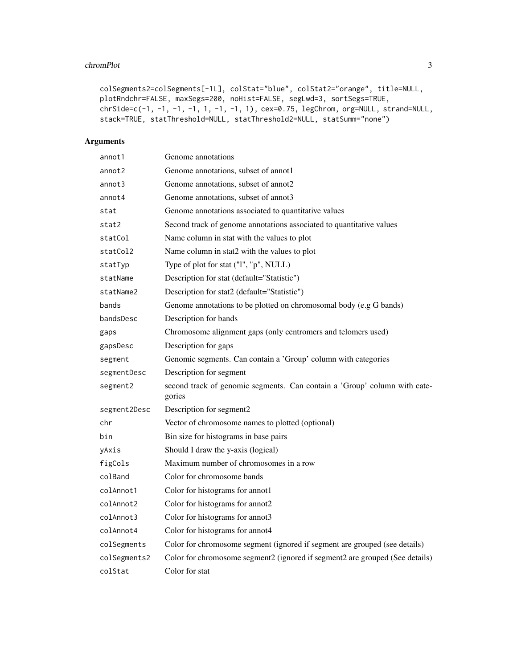#### chromPlot 3

```
colSegments2=colSegments[-1L], colStat="blue", colStat2="orange", title=NULL,
plotRndchr=FALSE, maxSegs=200, noHist=FALSE, segLwd=3, sortSegs=TRUE,
chrSide=c(-1, -1, -1, -1, 1, -1, -1, 1), cex=0.75, legChrom, org=NULL, strand=NULL,
stack=TRUE, statThreshold=NULL, statThreshold2=NULL, statSumm="none")
```
#### Arguments

| annot1       | Genome annotations                                                                  |
|--------------|-------------------------------------------------------------------------------------|
| annot2       | Genome annotations, subset of annot1                                                |
| annot3       | Genome annotations, subset of annot2                                                |
| annot4       | Genome annotations, subset of annot3                                                |
| stat         | Genome annotations associated to quantitative values                                |
| stat2        | Second track of genome annotations associated to quantitative values                |
| statCol      | Name column in stat with the values to plot                                         |
| statCol2     | Name column in stat2 with the values to plot                                        |
| statTyp      | Type of plot for stat ("I", "p", NULL)                                              |
| statName     | Description for stat (default="Statistic")                                          |
| statName2    | Description for stat2 (default="Statistic")                                         |
| bands        | Genome annotations to be plotted on chromosomal body (e.g G bands)                  |
| bandsDesc    | Description for bands                                                               |
| gaps         | Chromosome alignment gaps (only centromers and telomers used)                       |
| gapsDesc     | Description for gaps                                                                |
| segment      | Genomic segments. Can contain a 'Group' column with categories                      |
| segmentDesc  | Description for segment                                                             |
| segment2     | second track of genomic segments. Can contain a 'Group' column with cate-<br>gories |
| segment2Desc | Description for segment2                                                            |
| chr          | Vector of chromosome names to plotted (optional)                                    |
| bin          | Bin size for histograms in base pairs                                               |
| yAxis        | Should I draw the y-axis (logical)                                                  |
| figCols      | Maximum number of chromosomes in a row                                              |
| colBand      | Color for chromosome bands                                                          |
| colAnnot1    | Color for histograms for annot1                                                     |
| colAnnot2    | Color for histograms for annot2                                                     |
| colAnnot3    | Color for histograms for annot3                                                     |
| colAnnot4    | Color for histograms for annot4                                                     |
| colSegments  | Color for chromosome segment (ignored if segment are grouped (see details)          |
| colSegments2 | Color for chromosome segment2 (ignored if segment2 are grouped (See details)        |
| colStat      | Color for stat                                                                      |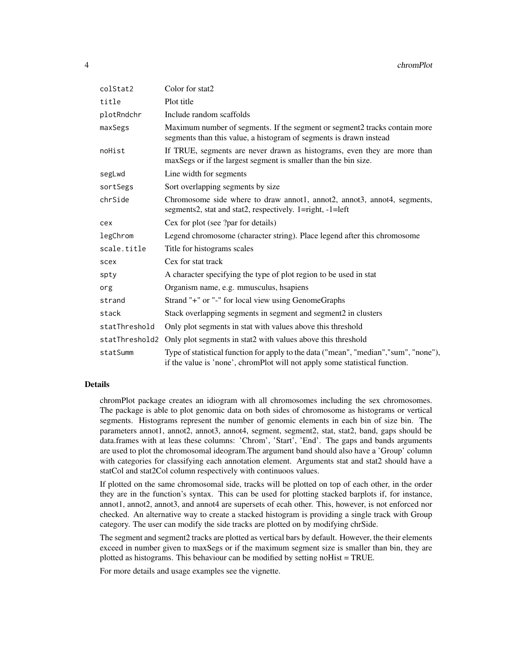| colStat2      | Color for stat2                                                                                                                                                      |
|---------------|----------------------------------------------------------------------------------------------------------------------------------------------------------------------|
| title         | Plot title                                                                                                                                                           |
| plotRndchr    | Include random scaffolds                                                                                                                                             |
| maxSegs       | Maximum number of segments. If the segment or segment2 tracks contain more<br>segments than this value, a histogram of segments is drawn instead                     |
| noHist        | If TRUE, segments are never drawn as histograms, even they are more than<br>maxSegs or if the largest segment is smaller than the bin size.                          |
| segLwd        | Line width for segments                                                                                                                                              |
| sortSegs      | Sort overlapping segments by size                                                                                                                                    |
| chrSide       | Chromosome side where to draw annot1, annot2, annot3, annot4, segments,<br>segments2, stat and stat2, respectively. 1=right, -1=left                                 |
| cex           | Cex for plot (see ?par for details)                                                                                                                                  |
| legChrom      | Legend chromosome (character string). Place legend after this chromosome                                                                                             |
| scale.title   | Title for histograms scales                                                                                                                                          |
| scex          | Cex for stat track                                                                                                                                                   |
| spty          | A character specifying the type of plot region to be used in stat                                                                                                    |
| org           | Organism name, e.g. mmusculus, hsapiens                                                                                                                              |
| strand        | Strand "+" or "-" for local view using GenomeGraphs                                                                                                                  |
| stack         | Stack overlapping segments in segment and segment2 in clusters                                                                                                       |
| statThreshold | Only plot segments in stat with values above this threshold                                                                                                          |
|               | statThreshold2 Only plot segments in stat2 with values above this threshold                                                                                          |
| statSumm      | Type of statistical function for apply to the data ("mean", "median", "sum", "none"),<br>if the value is 'none', chromPlot will not apply some statistical function. |

#### Details

chromPlot package creates an idiogram with all chromosomes including the sex chromosomes. The package is able to plot genomic data on both sides of chromosome as histograms or vertical segments. Histograms represent the number of genomic elements in each bin of size bin. The parameters annot1, annot2, annot3, annot4, segment, segment2, stat, stat2, band, gaps should be data.frames with at leas these columns: 'Chrom', 'Start', 'End'. The gaps and bands arguments are used to plot the chromosomal ideogram.The argument band should also have a 'Group' column with categories for classifying each annotation element. Arguments stat and stat2 should have a statCol and stat2Col column respectively with continuoos values.

If plotted on the same chromosomal side, tracks will be plotted on top of each other, in the order they are in the function's syntax. This can be used for plotting stacked barplots if, for instance, annot1, annot2, annot3, and annot4 are supersets of ecah other. This, however, is not enforced nor checked. An alternative way to create a stacked histogram is providing a single track with Group category. The user can modify the side tracks are plotted on by modifying chrSide.

The segment and segment2 tracks are plotted as vertical bars by default. However, the their elements exceed in number given to maxSegs or if the maximum segment size is smaller than bin, they are plotted as histograms. This behaviour can be modified by setting noHist = TRUE.

For more details and usage examples see the vignette.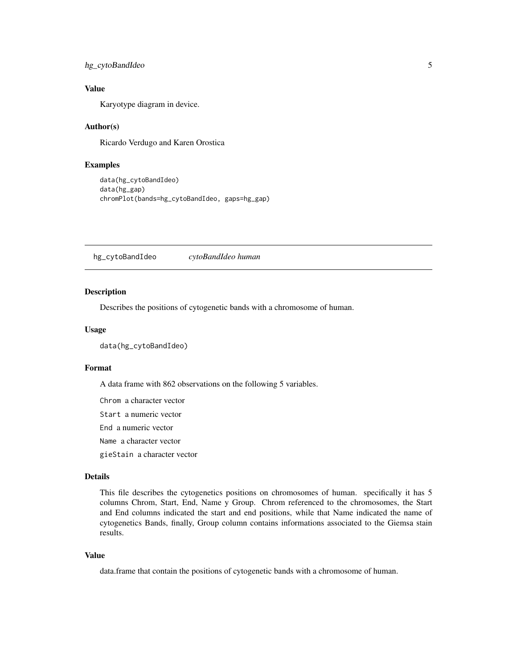#### <span id="page-4-0"></span>hg\_cytoBandIdeo 5

#### Value

Karyotype diagram in device.

#### Author(s)

Ricardo Verdugo and Karen Orostica

#### Examples

```
data(hg_cytoBandIdeo)
data(hg_gap)
chromPlot(bands=hg_cytoBandIdeo, gaps=hg_gap)
```
hg\_cytoBandIdeo *cytoBandIdeo human*

#### Description

Describes the positions of cytogenetic bands with a chromosome of human.

#### Usage

data(hg\_cytoBandIdeo)

#### Format

A data frame with 862 observations on the following 5 variables.

Chrom a character vector Start a numeric vector End a numeric vector Name a character vector gieStain a character vector

#### Details

This file describes the cytogenetics positions on chromosomes of human. specifically it has 5 columns Chrom, Start, End, Name y Group. Chrom referenced to the chromosomes, the Start and End columns indicated the start and end positions, while that Name indicated the name of cytogenetics Bands, finally, Group column contains informations associated to the Giemsa stain results.

#### Value

data.frame that contain the positions of cytogenetic bands with a chromosome of human.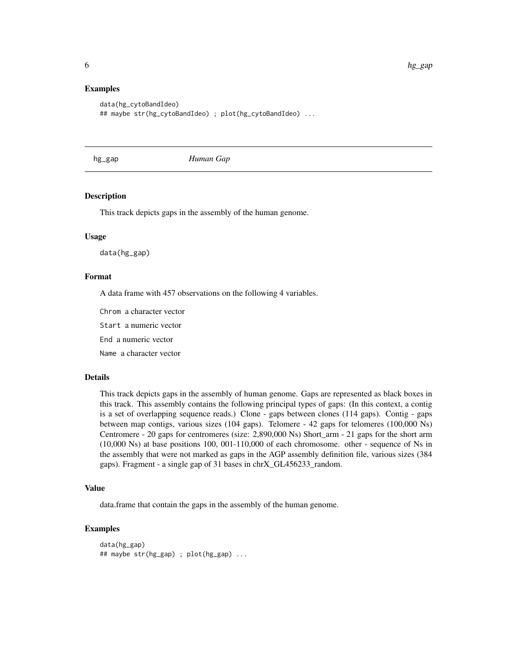#### Examples

```
data(hg_cytoBandIdeo)
## maybe str(hg_cytoBandIdeo) ; plot(hg_cytoBandIdeo) ...
```
hg\_gap *Human Gap*

#### **Description**

This track depicts gaps in the assembly of the human genome.

#### Usage

data(hg\_gap)

#### Format

A data frame with 457 observations on the following 4 variables.

Chrom a character vector

Start a numeric vector

End a numeric vector

Name a character vector

#### Details

This track depicts gaps in the assembly of human genome. Gaps are represented as black boxes in this track. This assembly contains the following principal types of gaps: (In this context, a contig is a set of overlapping sequence reads.) Clone - gaps between clones (114 gaps). Contig - gaps between map contigs, various sizes (104 gaps). Telomere - 42 gaps for telomeres (100,000 Ns) Centromere - 20 gaps for centromeres (size: 2,890,000 Ns) Short\_arm - 21 gaps for the short arm (10,000 Ns) at base positions 100, 001-110,000 of each chromosome. other - sequence of Ns in the assembly that were not marked as gaps in the AGP assembly definition file, various sizes (384 gaps). Fragment - a single gap of 31 bases in chrX\_GL456233\_random.

#### Value

data.frame that contain the gaps in the assembly of the human genome.

#### Examples

```
data(hg_gap)
## maybe str(hg_gap) ; plot(hg_gap) ...
```
<span id="page-5-0"></span>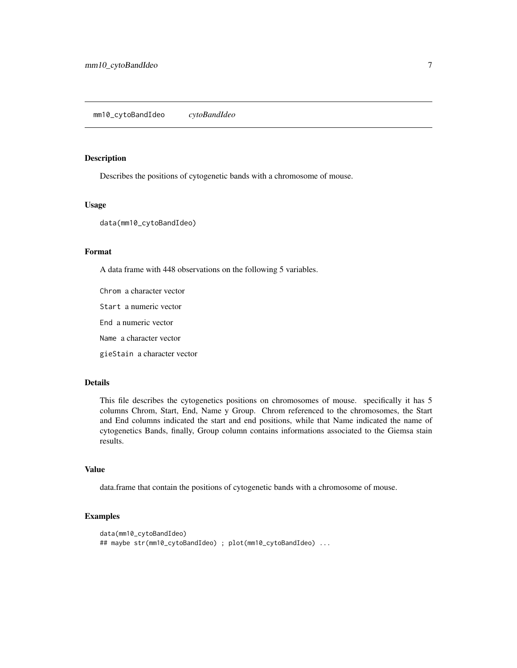#### <span id="page-6-0"></span>Description

Describes the positions of cytogenetic bands with a chromosome of mouse.

#### Usage

data(mm10\_cytoBandIdeo)

#### Format

A data frame with 448 observations on the following 5 variables.

Chrom a character vector

Start a numeric vector

End a numeric vector

Name a character vector

gieStain a character vector

#### Details

This file describes the cytogenetics positions on chromosomes of mouse. specifically it has 5 columns Chrom, Start, End, Name y Group. Chrom referenced to the chromosomes, the Start and End columns indicated the start and end positions, while that Name indicated the name of cytogenetics Bands, finally, Group column contains informations associated to the Giemsa stain results.

#### Value

data.frame that contain the positions of cytogenetic bands with a chromosome of mouse.

#### Examples

```
data(mm10_cytoBandIdeo)
## maybe str(mm10_cytoBandIdeo) ; plot(mm10_cytoBandIdeo) ...
```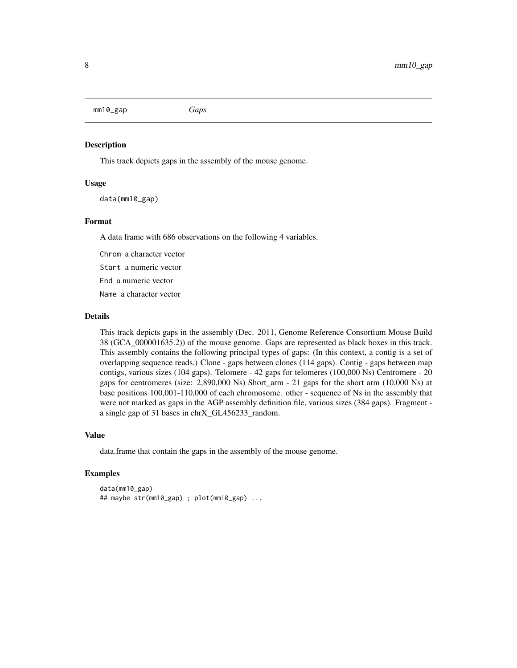<span id="page-7-0"></span>mm10\_gap *Gaps*

#### Description

This track depicts gaps in the assembly of the mouse genome.

#### Usage

data(mm10\_gap)

#### Format

A data frame with 686 observations on the following 4 variables.

Chrom a character vector Start a numeric vector

End a numeric vector

Name a character vector

#### Details

This track depicts gaps in the assembly (Dec. 2011, Genome Reference Consortium Mouse Build 38 (GCA\_000001635.2)) of the mouse genome. Gaps are represented as black boxes in this track. This assembly contains the following principal types of gaps: (In this context, a contig is a set of overlapping sequence reads.) Clone - gaps between clones (114 gaps). Contig - gaps between map contigs, various sizes (104 gaps). Telomere - 42 gaps for telomeres (100,000 Ns) Centromere - 20 gaps for centromeres (size: 2,890,000 Ns) Short\_arm - 21 gaps for the short arm (10,000 Ns) at base positions 100,001-110,000 of each chromosome. other - sequence of Ns in the assembly that were not marked as gaps in the AGP assembly definition file, various sizes (384 gaps). Fragment a single gap of 31 bases in chrX\_GL456233\_random.

#### Value

data.frame that contain the gaps in the assembly of the mouse genome.

#### Examples

```
data(mm10_gap)
## maybe str(mm10_gap) ; plot(mm10_gap) ...
```